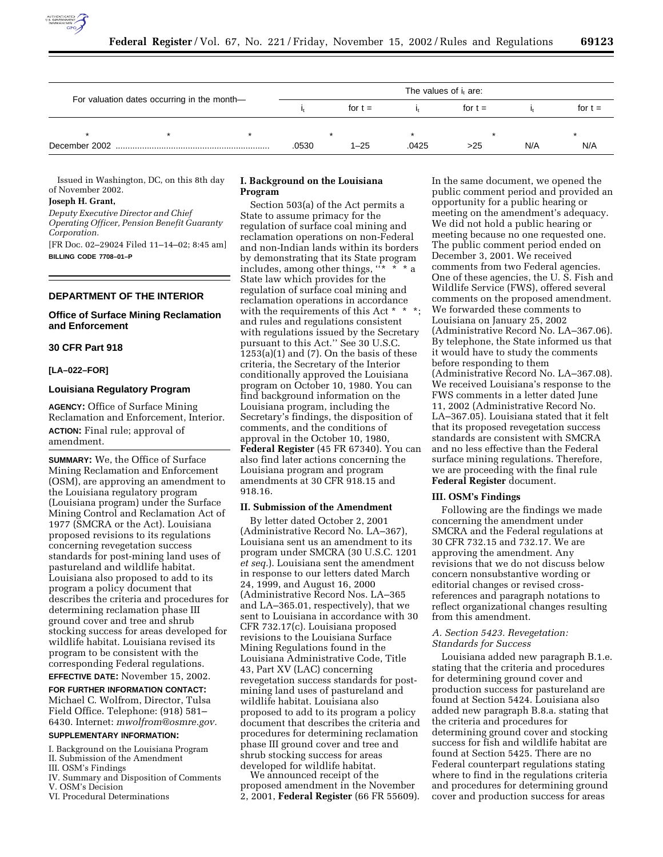

|                                             | The values of $i_t$ are: |  |      |           |       |           |     |           |
|---------------------------------------------|--------------------------|--|------|-----------|-------|-----------|-----|-----------|
| For valuation dates occurring in the month- |                          |  |      | for $t =$ |       | for $t =$ |     | for $t =$ |
|                                             |                          |  |      |           |       |           |     |           |
| December 2002                               |                          |  | 0530 | 1–25      | .0425 | >25       | N/A | N/A       |

Issued in Washington, DC, on this 8th day of November 2002.

#### **Joseph H. Grant,**

*Deputy Executive Director and Chief Operating Officer, Pension Benefit Guaranty Corporation.*

[FR Doc. 02–29024 Filed 11–14–02; 8:45 am] **BILLING CODE 7708–01–P**

# **DEPARTMENT OF THE INTERIOR**

## **Office of Surface Mining Reclamation and Enforcement**

#### **30 CFR Part 918**

#### **[LA–022–FOR]**

#### **Louisiana Regulatory Program**

**AGENCY:** Office of Surface Mining Reclamation and Enforcement, Interior. **ACTION:** Final rule; approval of amendment.

**SUMMARY:** We, the Office of Surface Mining Reclamation and Enforcement (OSM), are approving an amendment to the Louisiana regulatory program (Louisiana program) under the Surface Mining Control and Reclamation Act of 1977 (SMCRA or the Act). Louisiana proposed revisions to its regulations concerning revegetation success standards for post-mining land uses of pastureland and wildlife habitat. Louisiana also proposed to add to its program a policy document that describes the criteria and procedures for determining reclamation phase III ground cover and tree and shrub stocking success for areas developed for wildlife habitat. Louisiana revised its program to be consistent with the corresponding Federal regulations.

**EFFECTIVE DATE:** November 15, 2002. **FOR FURTHER INFORMATION CONTACT:** Michael C. Wolfrom, Director, Tulsa Field Office. Telephone: (918) 581– 6430. Internet: *mwolfrom@osmre.gov.*

## **SUPPLEMENTARY INFORMATION:**

- I. Background on the Louisiana Program
- II. Submission of the Amendment III. OSM's Findings
- IV. Summary and Disposition of Comments V. OSM's Decision
- VI. Procedural Determinations

# **I. Background on the Louisiana Program**

Section 503(a) of the Act permits a State to assume primacy for the regulation of surface coal mining and reclamation operations on non-Federal and non-Indian lands within its borders by demonstrating that its State program includes, among other things,  $x^*$ State law which provides for the regulation of surface coal mining and reclamation operations in accordance with the requirements of this Act \* \* \*; and rules and regulations consistent with regulations issued by the Secretary pursuant to this Act.'' See 30 U.S.C.  $1253(a)(1)$  and  $(7)$ . On the basis of these criteria, the Secretary of the Interior conditionally approved the Louisiana program on October 10, 1980. You can find background information on the Louisiana program, including the Secretary's findings, the disposition of comments, and the conditions of approval in the October 10, 1980, **Federal Register** (45 FR 67340). You can also find later actions concerning the Louisiana program and program amendments at 30 CFR 918.15 and 918.16.

#### **II. Submission of the Amendment**

By letter dated October 2, 2001 (Administrative Record No. LA–367), Louisiana sent us an amendment to its program under SMCRA (30 U.S.C. 1201 *et seq.*). Louisiana sent the amendment in response to our letters dated March 24, 1999, and August 16, 2000 (Administrative Record Nos. LA–365 and LA–365.01, respectively), that we sent to Louisiana in accordance with 30 CFR 732.17(c). Louisiana proposed revisions to the Louisiana Surface Mining Regulations found in the Louisiana Administrative Code, Title 43, Part XV (LAC) concerning revegetation success standards for postmining land uses of pastureland and wildlife habitat. Louisiana also proposed to add to its program a policy document that describes the criteria and procedures for determining reclamation phase III ground cover and tree and shrub stocking success for areas

We announced receipt of the proposed amendment in the November 2, 2001, **Federal Register** (66 FR 55609).

In the same document, we opened the public comment period and provided an opportunity for a public hearing or meeting on the amendment's adequacy. We did not hold a public hearing or meeting because no one requested one. The public comment period ended on December 3, 2001. We received comments from two Federal agencies. One of these agencies, the U. S. Fish and Wildlife Service (FWS), offered several comments on the proposed amendment. We forwarded these comments to Louisiana on January 25, 2002 (Administrative Record No. LA–367.06). By telephone, the State informed us that it would have to study the comments before responding to them (Administrative Record No. LA–367.08). We received Louisiana's response to the FWS comments in a letter dated June 11, 2002 (Administrative Record No. LA–367.05). Louisiana stated that it felt that its proposed revegetation success standards are consistent with SMCRA and no less effective than the Federal surface mining regulations. Therefore, we are proceeding with the final rule **Federal Register** document.

### **III. OSM's Findings**

Following are the findings we made concerning the amendment under SMCRA and the Federal regulations at 30 CFR 732.15 and 732.17. We are approving the amendment. Any revisions that we do not discuss below concern nonsubstantive wording or editorial changes or revised crossreferences and paragraph notations to reflect organizational changes resulting from this amendment.

## *A. Section 5423. Revegetation: Standards for Success*

Louisiana added new paragraph B.1.e. stating that the criteria and procedures for determining ground cover and production success for pastureland are found at Section 5424. Louisiana also added new paragraph B.8.a. stating that the criteria and procedures for determining ground cover and stocking success for fish and wildlife habitat are found at Section 5425. There are no Federal counterpart regulations stating where to find in the regulations criteria and procedures for determining ground cover and production success for areas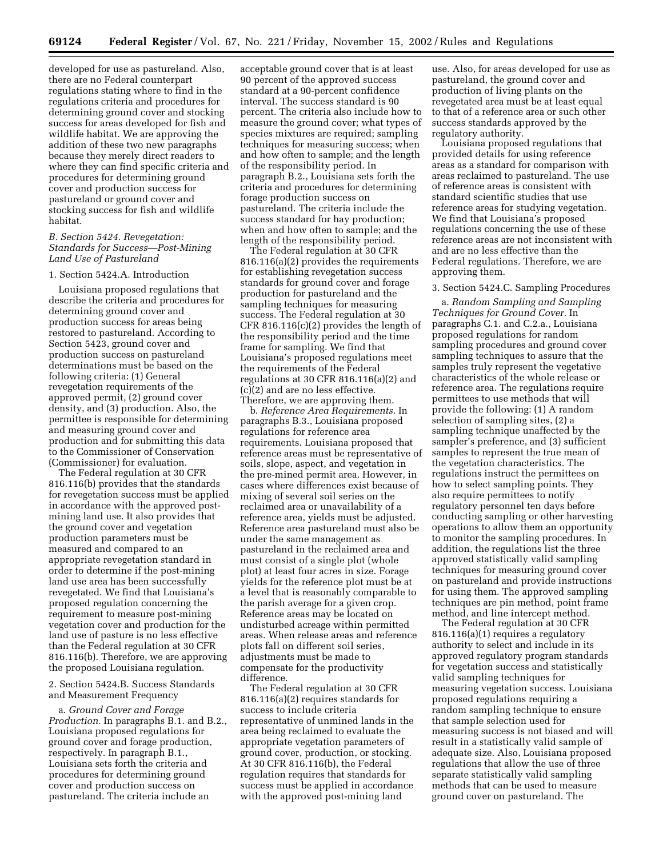developed for use as pastureland. Also, there are no Federal counterpart regulations stating where to find in the regulations criteria and procedures for determining ground cover and stocking success for areas developed for fish and wildlife habitat. We are approving the addition of these two new paragraphs because they merely direct readers to where they can find specific criteria and procedures for determining ground cover and production success for pastureland or ground cover and stocking success for fish and wildlife habitat.

# *B. Section 5424. Revegetation: Standards for Success—Post-Mining Land Use of Pastureland*

#### 1. Section 5424.A. Introduction

Louisiana proposed regulations that describe the criteria and procedures for determining ground cover and production success for areas being restored to pastureland. According to Section 5423, ground cover and production success on pastureland determinations must be based on the following criteria: (1) General revegetation requirements of the approved permit, (2) ground cover density, and (3) production. Also, the permittee is responsible for determining and measuring ground cover and production and for submitting this data to the Commissioner of Conservation (Commissioner) for evaluation.

The Federal regulation at 30 CFR 816.116(b) provides that the standards for revegetation success must be applied in accordance with the approved postmining land use. It also provides that the ground cover and vegetation production parameters must be measured and compared to an appropriate revegetation standard in order to determine if the post-mining land use area has been successfully revegetated. We find that Louisiana's proposed regulation concerning the requirement to measure post-mining vegetation cover and production for the land use of pasture is no less effective than the Federal regulation at 30 CFR 816.116(b). Therefore, we are approving the proposed Louisiana regulation.

# 2. Section 5424.B. Success Standards and Measurement Frequency

a. *Ground Cover and Forage Production.* In paragraphs B.1. and B.2., Louisiana proposed regulations for ground cover and forage production, respectively. In paragraph B.1., Louisiana sets forth the criteria and procedures for determining ground cover and production success on pastureland. The criteria include an

acceptable ground cover that is at least 90 percent of the approved success standard at a 90-percent confidence interval. The success standard is 90 percent. The criteria also include how to measure the ground cover; what types of species mixtures are required; sampling techniques for measuring success; when and how often to sample; and the length of the responsibility period. In paragraph B.2., Louisiana sets forth the criteria and procedures for determining forage production success on pastureland. The criteria include the success standard for hay production; when and how often to sample; and the length of the responsibility period.

The Federal regulation at 30 CFR 816.116(a)(2) provides the requirements for establishing revegetation success standards for ground cover and forage production for pastureland and the sampling techniques for measuring success. The Federal regulation at 30 CFR 816.116(c)(2) provides the length of the responsibility period and the time frame for sampling. We find that Louisiana's proposed regulations meet the requirements of the Federal regulations at 30 CFR 816.116(a)(2) and (c)(2) and are no less effective. Therefore, we are approving them.

b. *Reference Area Requirements.* In paragraphs B.3., Louisiana proposed regulations for reference area requirements. Louisiana proposed that reference areas must be representative of soils, slope, aspect, and vegetation in the pre-mined permit area. However, in cases where differences exist because of mixing of several soil series on the reclaimed area or unavailability of a reference area, yields must be adjusted. Reference area pastureland must also be under the same management as pastureland in the reclaimed area and must consist of a single plot (whole plot) at least four acres in size. Forage yields for the reference plot must be at a level that is reasonably comparable to the parish average for a given crop. Reference areas may be located on undisturbed acreage within permitted areas. When release areas and reference plots fall on different soil series, adjustments must be made to compensate for the productivity difference.

The Federal regulation at 30 CFR 816.116(a)(2) requires standards for success to include criteria representative of unmined lands in the area being reclaimed to evaluate the appropriate vegetation parameters of ground cover, production, or stocking. At 30 CFR 816.116(b), the Federal regulation requires that standards for success must be applied in accordance with the approved post-mining land

use. Also, for areas developed for use as pastureland, the ground cover and production of living plants on the revegetated area must be at least equal to that of a reference area or such other success standards approved by the regulatory authority.

Louisiana proposed regulations that provided details for using reference areas as a standard for comparison with areas reclaimed to pastureland. The use of reference areas is consistent with standard scientific studies that use reference areas for studying vegetation. We find that Louisiana's proposed regulations concerning the use of these reference areas are not inconsistent with and are no less effective than the Federal regulations. Therefore, we are approving them.

### 3. Section 5424.C. Sampling Procedures

a. *Random Sampling and Sampling Techniques for Ground Cover.* In paragraphs C.1. and C.2.a., Louisiana proposed regulations for random sampling procedures and ground cover sampling techniques to assure that the samples truly represent the vegetative characteristics of the whole release or reference area. The regulations require permittees to use methods that will provide the following: (1) A random selection of sampling sites, (2) a sampling technique unaffected by the sampler's preference, and (3) sufficient samples to represent the true mean of the vegetation characteristics. The regulations instruct the permittees on how to select sampling points. They also require permittees to notify regulatory personnel ten days before conducting sampling or other harvesting operations to allow them an opportunity to monitor the sampling procedures. In addition, the regulations list the three approved statistically valid sampling techniques for measuring ground cover on pastureland and provide instructions for using them. The approved sampling techniques are pin method, point frame method, and line intercept method.

The Federal regulation at 30 CFR 816.116(a)(1) requires a regulatory authority to select and include in its approved regulatory program standards for vegetation success and statistically valid sampling techniques for measuring vegetation success. Louisiana proposed regulations requiring a random sampling technique to ensure that sample selection used for measuring success is not biased and will result in a statistically valid sample of adequate size. Also, Louisiana proposed regulations that allow the use of three separate statistically valid sampling methods that can be used to measure ground cover on pastureland. The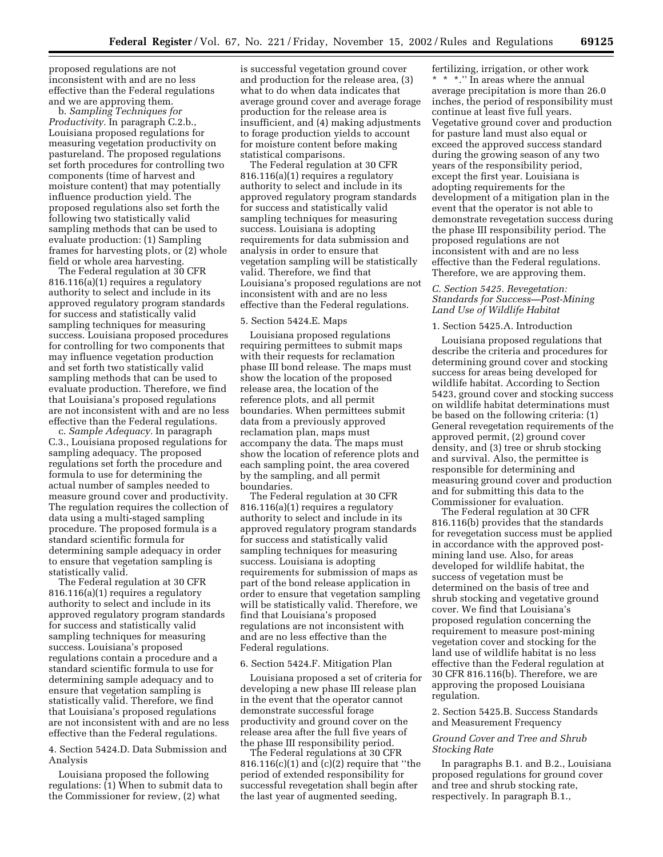proposed regulations are not inconsistent with and are no less effective than the Federal regulations and we are approving them.

b. *Sampling Techniques for Productivity.* In paragraph C.2.b., Louisiana proposed regulations for measuring vegetation productivity on pastureland. The proposed regulations set forth procedures for controlling two components (time of harvest and moisture content) that may potentially influence production yield. The proposed regulations also set forth the following two statistically valid sampling methods that can be used to evaluate production: (1) Sampling frames for harvesting plots, or (2) whole field or whole area harvesting.

The Federal regulation at 30 CFR 816.116(a)(1) requires a regulatory authority to select and include in its approved regulatory program standards for success and statistically valid sampling techniques for measuring success. Louisiana proposed procedures for controlling for two components that may influence vegetation production and set forth two statistically valid sampling methods that can be used to evaluate production. Therefore, we find that Louisiana's proposed regulations are not inconsistent with and are no less effective than the Federal regulations.

c. *Sample Adequacy.* In paragraph C.3., Louisiana proposed regulations for sampling adequacy. The proposed regulations set forth the procedure and formula to use for determining the actual number of samples needed to measure ground cover and productivity. The regulation requires the collection of data using a multi-staged sampling procedure. The proposed formula is a standard scientific formula for determining sample adequacy in order to ensure that vegetation sampling is statistically valid.

The Federal regulation at 30 CFR 816.116(a)(1) requires a regulatory authority to select and include in its approved regulatory program standards for success and statistically valid sampling techniques for measuring success. Louisiana's proposed regulations contain a procedure and a standard scientific formula to use for determining sample adequacy and to ensure that vegetation sampling is statistically valid. Therefore, we find that Louisiana's proposed regulations are not inconsistent with and are no less effective than the Federal regulations.

4. Section 5424.D. Data Submission and Analysis

Louisiana proposed the following regulations: (1) When to submit data to the Commissioner for review, (2) what

is successful vegetation ground cover and production for the release area, (3) what to do when data indicates that average ground cover and average forage production for the release area is insufficient, and (4) making adjustments to forage production yields to account for moisture content before making statistical comparisons.

The Federal regulation at 30 CFR 816.116(a)(1) requires a regulatory authority to select and include in its approved regulatory program standards for success and statistically valid sampling techniques for measuring success. Louisiana is adopting requirements for data submission and analysis in order to ensure that vegetation sampling will be statistically valid. Therefore, we find that Louisiana's proposed regulations are not inconsistent with and are no less effective than the Federal regulations.

#### 5. Section 5424.E. Maps

Louisiana proposed regulations requiring permittees to submit maps with their requests for reclamation phase III bond release. The maps must show the location of the proposed release area, the location of the reference plots, and all permit boundaries. When permittees submit data from a previously approved reclamation plan, maps must accompany the data. The maps must show the location of reference plots and each sampling point, the area covered by the sampling, and all permit boundaries.

The Federal regulation at 30 CFR 816.116(a)(1) requires a regulatory authority to select and include in its approved regulatory program standards for success and statistically valid sampling techniques for measuring success. Louisiana is adopting requirements for submission of maps as part of the bond release application in order to ensure that vegetation sampling will be statistically valid. Therefore, we find that Louisiana's proposed regulations are not inconsistent with and are no less effective than the Federal regulations.

#### 6. Section 5424.F. Mitigation Plan

Louisiana proposed a set of criteria for developing a new phase III release plan in the event that the operator cannot demonstrate successful forage productivity and ground cover on the release area after the full five years of the phase III responsibility period.

The Federal regulations at 30 CFR 816.116(c)(1) and (c)(2) require that ''the period of extended responsibility for successful revegetation shall begin after the last year of augmented seeding,

fertilizing, irrigation, or other work \* \* \*.'' In areas where the annual average precipitation is more than 26.0 inches, the period of responsibility must continue at least five full years. Vegetative ground cover and production for pasture land must also equal or exceed the approved success standard during the growing season of any two years of the responsibility period, except the first year. Louisiana is adopting requirements for the development of a mitigation plan in the event that the operator is not able to demonstrate revegetation success during the phase III responsibility period. The proposed regulations are not inconsistent with and are no less effective than the Federal regulations. Therefore, we are approving them.

# *C. Section 5425. Revegetation: Standards for Success—Post-Mining Land Use of Wildlife Habitat*

#### 1. Section 5425.A. Introduction

Louisiana proposed regulations that describe the criteria and procedures for determining ground cover and stocking success for areas being developed for wildlife habitat. According to Section 5423, ground cover and stocking success on wildlife habitat determinations must be based on the following criteria: (1) General revegetation requirements of the approved permit, (2) ground cover density, and (3) tree or shrub stocking and survival. Also, the permittee is responsible for determining and measuring ground cover and production and for submitting this data to the Commissioner for evaluation.

The Federal regulation at 30 CFR 816.116(b) provides that the standards for revegetation success must be applied in accordance with the approved postmining land use. Also, for areas developed for wildlife habitat, the success of vegetation must be determined on the basis of tree and shrub stocking and vegetative ground cover. We find that Louisiana's proposed regulation concerning the requirement to measure post-mining vegetation cover and stocking for the land use of wildlife habitat is no less effective than the Federal regulation at 30 CFR 816.116(b). Therefore, we are approving the proposed Louisiana regulation.

2. Section 5425.B. Success Standards and Measurement Frequency

# *Ground Cover and Tree and Shrub Stocking Rate*

In paragraphs B.1. and B.2., Louisiana proposed regulations for ground cover and tree and shrub stocking rate, respectively. In paragraph B.1.,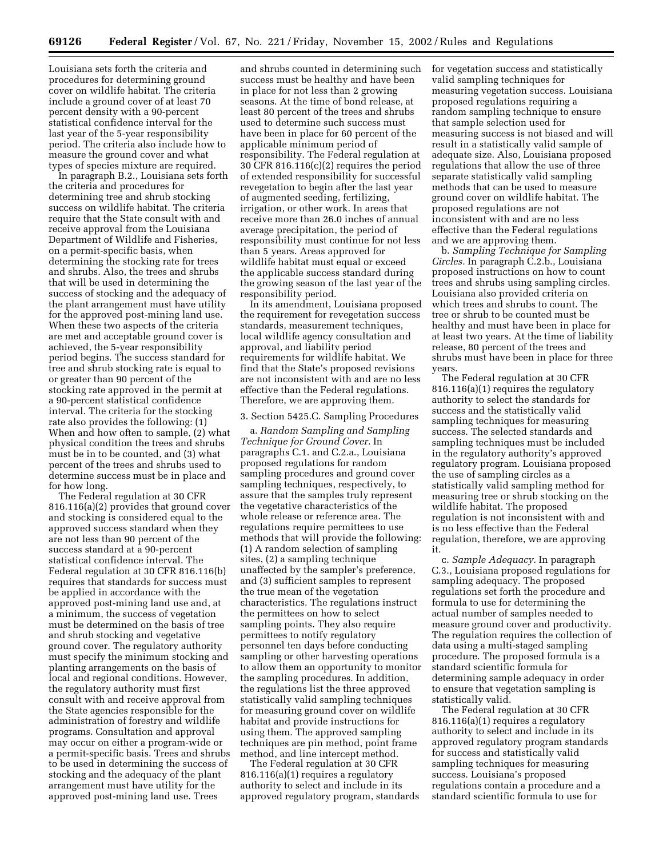Louisiana sets forth the criteria and procedures for determining ground cover on wildlife habitat. The criteria include a ground cover of at least 70 percent density with a 90-percent statistical confidence interval for the last year of the 5-year responsibility period. The criteria also include how to measure the ground cover and what types of species mixture are required.

In paragraph B.2., Louisiana sets forth the criteria and procedures for determining tree and shrub stocking success on wildlife habitat. The criteria require that the State consult with and receive approval from the Louisiana Department of Wildlife and Fisheries, on a permit-specific basis, when determining the stocking rate for trees and shrubs. Also, the trees and shrubs that will be used in determining the success of stocking and the adequacy of the plant arrangement must have utility for the approved post-mining land use. When these two aspects of the criteria are met and acceptable ground cover is achieved, the 5-year responsibility period begins. The success standard for tree and shrub stocking rate is equal to or greater than 90 percent of the stocking rate approved in the permit at a 90-percent statistical confidence interval. The criteria for the stocking rate also provides the following: (1) When and how often to sample, (2) what physical condition the trees and shrubs must be in to be counted, and (3) what percent of the trees and shrubs used to determine success must be in place and for how long.

The Federal regulation at 30 CFR 816.116(a)(2) provides that ground cover and stocking is considered equal to the approved success standard when they are not less than 90 percent of the success standard at a 90-percent statistical confidence interval. The Federal regulation at 30 CFR 816.116(b) requires that standards for success must be applied in accordance with the approved post-mining land use and, at a minimum, the success of vegetation must be determined on the basis of tree and shrub stocking and vegetative ground cover. The regulatory authority must specify the minimum stocking and planting arrangements on the basis of local and regional conditions. However, the regulatory authority must first consult with and receive approval from the State agencies responsible for the administration of forestry and wildlife programs. Consultation and approval may occur on either a program-wide or a permit-specific basis. Trees and shrubs to be used in determining the success of stocking and the adequacy of the plant arrangement must have utility for the approved post-mining land use. Trees

and shrubs counted in determining such success must be healthy and have been in place for not less than 2 growing seasons. At the time of bond release, at least 80 percent of the trees and shrubs used to determine such success must have been in place for 60 percent of the applicable minimum period of responsibility. The Federal regulation at 30 CFR 816.116(c)(2) requires the period of extended responsibility for successful revegetation to begin after the last year of augmented seeding, fertilizing, irrigation, or other work. In areas that receive more than 26.0 inches of annual average precipitation, the period of responsibility must continue for not less than 5 years. Areas approved for wildlife habitat must equal or exceed the applicable success standard during the growing season of the last year of the responsibility period.

In its amendment, Louisiana proposed the requirement for revegetation success standards, measurement techniques, local wildlife agency consultation and approval, and liability period requirements for wildlife habitat. We find that the State's proposed revisions are not inconsistent with and are no less effective than the Federal regulations. Therefore, we are approving them.

#### 3. Section 5425.C. Sampling Procedures

a. *Random Sampling and Sampling Technique for Ground Cover.* In paragraphs C.1. and C.2.a., Louisiana proposed regulations for random sampling procedures and ground cover sampling techniques, respectively, to assure that the samples truly represent the vegetative characteristics of the whole release or reference area. The regulations require permittees to use methods that will provide the following: (1) A random selection of sampling sites, (2) a sampling technique unaffected by the sampler's preference, and (3) sufficient samples to represent the true mean of the vegetation characteristics. The regulations instruct the permittees on how to select sampling points. They also require permittees to notify regulatory personnel ten days before conducting sampling or other harvesting operations to allow them an opportunity to monitor the sampling procedures. In addition, the regulations list the three approved statistically valid sampling techniques for measuring ground cover on wildlife habitat and provide instructions for using them. The approved sampling techniques are pin method, point frame method, and line intercept method.

The Federal regulation at 30 CFR 816.116(a)(1) requires a regulatory authority to select and include in its approved regulatory program, standards for vegetation success and statistically valid sampling techniques for measuring vegetation success. Louisiana proposed regulations requiring a random sampling technique to ensure that sample selection used for measuring success is not biased and will result in a statistically valid sample of adequate size. Also, Louisiana proposed regulations that allow the use of three separate statistically valid sampling methods that can be used to measure ground cover on wildlife habitat. The proposed regulations are not inconsistent with and are no less effective than the Federal regulations and we are approving them.

b. *Sampling Technique for Sampling Circles.* In paragraph C.2.b., Louisiana proposed instructions on how to count trees and shrubs using sampling circles. Louisiana also provided criteria on which trees and shrubs to count. The tree or shrub to be counted must be healthy and must have been in place for at least two years. At the time of liability release, 80 percent of the trees and shrubs must have been in place for three years.

The Federal regulation at 30 CFR 816.116(a)(1) requires the regulatory authority to select the standards for success and the statistically valid sampling techniques for measuring success. The selected standards and sampling techniques must be included in the regulatory authority's approved regulatory program. Louisiana proposed the use of sampling circles as a statistically valid sampling method for measuring tree or shrub stocking on the wildlife habitat. The proposed regulation is not inconsistent with and is no less effective than the Federal regulation, therefore, we are approving it.

c. *Sample Adequacy.* In paragraph C.3., Louisiana proposed regulations for sampling adequacy. The proposed regulations set forth the procedure and formula to use for determining the actual number of samples needed to measure ground cover and productivity. The regulation requires the collection of data using a multi-staged sampling procedure. The proposed formula is a standard scientific formula for determining sample adequacy in order to ensure that vegetation sampling is statistically valid.

The Federal regulation at 30 CFR 816.116(a)(1) requires a regulatory authority to select and include in its approved regulatory program standards for success and statistically valid sampling techniques for measuring success. Louisiana's proposed regulations contain a procedure and a standard scientific formula to use for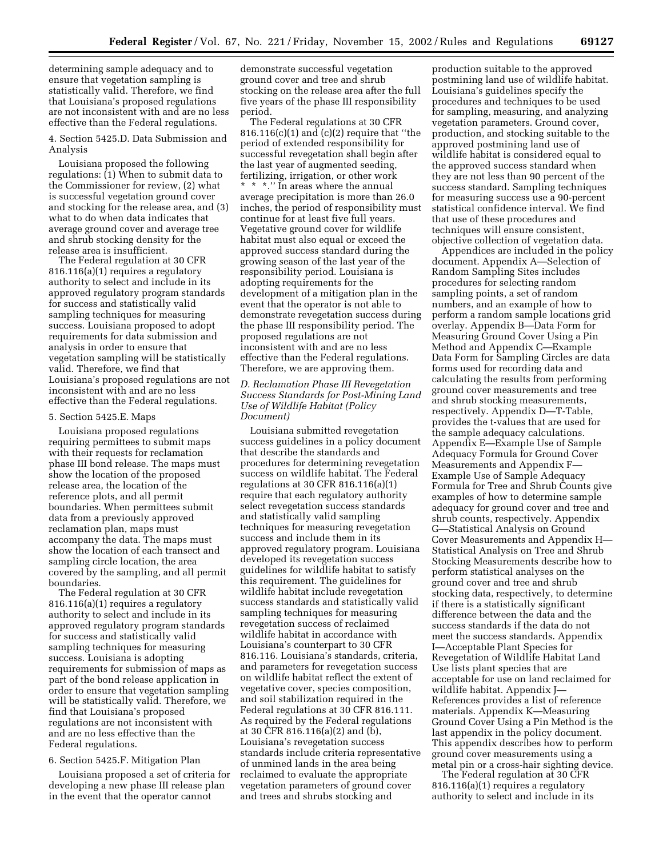determining sample adequacy and to ensure that vegetation sampling is statistically valid. Therefore, we find that Louisiana's proposed regulations are not inconsistent with and are no less effective than the Federal regulations.

4. Section 5425.D. Data Submission and Analysis

Louisiana proposed the following regulations: (1) When to submit data to the Commissioner for review, (2) what is successful vegetation ground cover and stocking for the release area, and (3) what to do when data indicates that average ground cover and average tree and shrub stocking density for the release area is insufficient.

The Federal regulation at 30 CFR 816.116(a)(1) requires a regulatory authority to select and include in its approved regulatory program standards for success and statistically valid sampling techniques for measuring success. Louisiana proposed to adopt requirements for data submission and analysis in order to ensure that vegetation sampling will be statistically valid. Therefore, we find that Louisiana's proposed regulations are not inconsistent with and are no less effective than the Federal regulations.

#### 5. Section 5425.E. Maps

Louisiana proposed regulations requiring permittees to submit maps with their requests for reclamation phase III bond release. The maps must show the location of the proposed release area, the location of the reference plots, and all permit boundaries. When permittees submit data from a previously approved reclamation plan, maps must accompany the data. The maps must show the location of each transect and sampling circle location, the area covered by the sampling, and all permit boundaries.

The Federal regulation at 30 CFR 816.116(a)(1) requires a regulatory authority to select and include in its approved regulatory program standards for success and statistically valid sampling techniques for measuring success. Louisiana is adopting requirements for submission of maps as part of the bond release application in order to ensure that vegetation sampling will be statistically valid. Therefore, we find that Louisiana's proposed regulations are not inconsistent with and are no less effective than the Federal regulations.

## 6. Section 5425.F. Mitigation Plan

Louisiana proposed a set of criteria for developing a new phase III release plan in the event that the operator cannot

demonstrate successful vegetation ground cover and tree and shrub stocking on the release area after the full five years of the phase III responsibility period.

The Federal regulations at 30 CFR 816.116(c)(1) and (c)(2) require that ''the period of extended responsibility for successful revegetation shall begin after the last year of augmented seeding, fertilizing, irrigation, or other work \* \* \*.'' In areas where the annual average precipitation is more than 26.0 inches, the period of responsibility must continue for at least five full years. Vegetative ground cover for wildlife habitat must also equal or exceed the approved success standard during the growing season of the last year of the responsibility period. Louisiana is adopting requirements for the development of a mitigation plan in the event that the operator is not able to demonstrate revegetation success during the phase III responsibility period. The proposed regulations are not inconsistent with and are no less effective than the Federal regulations. Therefore, we are approving them.

# *D. Reclamation Phase III Revegetation Success Standards for Post-Mining Land Use of Wildlife Habitat (Policy Document)*

Louisiana submitted revegetation success guidelines in a policy document that describe the standards and procedures for determining revegetation success on wildlife habitat. The Federal regulations at 30 CFR 816.116(a)(1) require that each regulatory authority select revegetation success standards and statistically valid sampling techniques for measuring revegetation success and include them in its approved regulatory program. Louisiana developed its revegetation success guidelines for wildlife habitat to satisfy this requirement. The guidelines for wildlife habitat include revegetation success standards and statistically valid sampling techniques for measuring revegetation success of reclaimed wildlife habitat in accordance with Louisiana's counterpart to 30 CFR 816.116. Louisiana's standards, criteria, and parameters for revegetation success on wildlife habitat reflect the extent of vegetative cover, species composition, and soil stabilization required in the Federal regulations at 30 CFR 816.111. As required by the Federal regulations at 30 CFR 816.116(a)(2) and (b), Louisiana's revegetation success standards include criteria representative of unmined lands in the area being reclaimed to evaluate the appropriate vegetation parameters of ground cover and trees and shrubs stocking and

production suitable to the approved postmining land use of wildlife habitat. Louisiana's guidelines specify the procedures and techniques to be used for sampling, measuring, and analyzing vegetation parameters. Ground cover, production, and stocking suitable to the approved postmining land use of wildlife habitat is considered equal to the approved success standard when they are not less than 90 percent of the success standard. Sampling techniques for measuring success use a 90-percent statistical confidence interval. We find that use of these procedures and techniques will ensure consistent, objective collection of vegetation data.

Appendices are included in the policy document. Appendix A—Selection of Random Sampling Sites includes procedures for selecting random sampling points, a set of random numbers, and an example of how to perform a random sample locations grid overlay. Appendix B—Data Form for Measuring Ground Cover Using a Pin Method and Appendix C—Example Data Form for Sampling Circles are data forms used for recording data and calculating the results from performing ground cover measurements and tree and shrub stocking measurements, respectively. Appendix D—T-Table, provides the t-values that are used for the sample adequacy calculations. Appendix E—Example Use of Sample Adequacy Formula for Ground Cover Measurements and Appendix F— Example Use of Sample Adequacy Formula for Tree and Shrub Counts give examples of how to determine sample adequacy for ground cover and tree and shrub counts, respectively. Appendix G—Statistical Analysis on Ground Cover Measurements and Appendix H— Statistical Analysis on Tree and Shrub Stocking Measurements describe how to perform statistical analyses on the ground cover and tree and shrub stocking data, respectively, to determine if there is a statistically significant difference between the data and the success standards if the data do not meet the success standards. Appendix I—Acceptable Plant Species for Revegetation of Wildlife Habitat Land Use lists plant species that are acceptable for use on land reclaimed for wildlife habitat. Appendix J— References provides a list of reference materials. Appendix K—Measuring Ground Cover Using a Pin Method is the last appendix in the policy document. This appendix describes how to perform ground cover measurements using a metal pin or a cross-hair sighting device.

The Federal regulation at 30 CFR 816.116(a)(1) requires a regulatory authority to select and include in its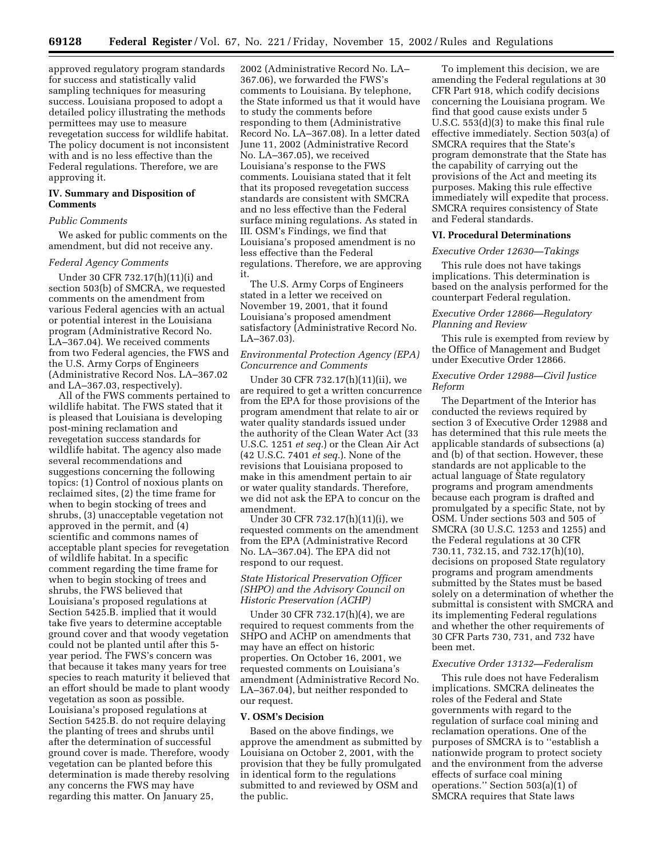approved regulatory program standards for success and statistically valid sampling techniques for measuring success. Louisiana proposed to adopt a detailed policy illustrating the methods permittees may use to measure revegetation success for wildlife habitat. The policy document is not inconsistent with and is no less effective than the Federal regulations. Therefore, we are approving it.

# **IV. Summary and Disposition of Comments**

### *Public Comments*

We asked for public comments on the amendment, but did not receive any.

#### *Federal Agency Comments*

Under 30 CFR 732.17(h)(11)(i) and section 503(b) of SMCRA, we requested comments on the amendment from various Federal agencies with an actual or potential interest in the Louisiana program (Administrative Record No. LA–367.04). We received comments from two Federal agencies, the FWS and the U.S. Army Corps of Engineers (Administrative Record Nos. LA–367.02 and LA–367.03, respectively).

All of the FWS comments pertained to wildlife habitat. The FWS stated that it is pleased that Louisiana is developing post-mining reclamation and revegetation success standards for wildlife habitat. The agency also made several recommendations and suggestions concerning the following topics: (1) Control of noxious plants on reclaimed sites, (2) the time frame for when to begin stocking of trees and shrubs, (3) unacceptable vegetation not approved in the permit, and (4) scientific and commons names of acceptable plant species for revegetation of wildlife habitat. In a specific comment regarding the time frame for when to begin stocking of trees and shrubs, the FWS believed that Louisiana's proposed regulations at Section 5425.B. implied that it would take five years to determine acceptable ground cover and that woody vegetation could not be planted until after this 5 year period. The FWS's concern was that because it takes many years for tree species to reach maturity it believed that an effort should be made to plant woody vegetation as soon as possible. Louisiana's proposed regulations at Section 5425.B. do not require delaying the planting of trees and shrubs until after the determination of successful ground cover is made. Therefore, woody vegetation can be planted before this determination is made thereby resolving any concerns the FWS may have regarding this matter. On January 25,

2002 (Administrative Record No. LA– 367.06), we forwarded the FWS's comments to Louisiana. By telephone, the State informed us that it would have to study the comments before responding to them (Administrative Record No. LA–367.08). In a letter dated June 11, 2002 (Administrative Record No. LA–367.05), we received Louisiana's response to the FWS comments. Louisiana stated that it felt that its proposed revegetation success standards are consistent with SMCRA and no less effective than the Federal surface mining regulations. As stated in III. OSM's Findings, we find that Louisiana's proposed amendment is no less effective than the Federal regulations. Therefore, we are approving it.

The U.S. Army Corps of Engineers stated in a letter we received on November 19, 2001, that it found Louisiana's proposed amendment satisfactory (Administrative Record No. LA–367.03).

## *Environmental Protection Agency (EPA) Concurrence and Comments*

Under 30 CFR 732.17(h)(11)(ii), we are required to get a written concurrence from the EPA for those provisions of the program amendment that relate to air or water quality standards issued under the authority of the Clean Water Act (33 U.S.C. 1251 *et seq.*) or the Clean Air Act (42 U.S.C. 7401 *et seq.*). None of the revisions that Louisiana proposed to make in this amendment pertain to air or water quality standards. Therefore, we did not ask the EPA to concur on the amendment.

Under 30 CFR 732.17(h)(11)(i), we requested comments on the amendment from the EPA (Administrative Record No. LA–367.04). The EPA did not respond to our request.

# *State Historical Preservation Officer (SHPO) and the Advisory Council on Historic Preservation (ACHP)*

Under 30 CFR 732.17(h)(4), we are required to request comments from the SHPO and ACHP on amendments that may have an effect on historic properties. On October 16, 2001, we requested comments on Louisiana's amendment (Administrative Record No. LA–367.04), but neither responded to our request.

## **V. OSM's Decision**

Based on the above findings, we approve the amendment as submitted by Louisiana on October 2, 2001, with the provision that they be fully promulgated in identical form to the regulations submitted to and reviewed by OSM and the public.

To implement this decision, we are amending the Federal regulations at 30 CFR Part 918, which codify decisions concerning the Louisiana program. We find that good cause exists under 5 U.S.C. 553(d)(3) to make this final rule effective immediately. Section 503(a) of SMCRA requires that the State's program demonstrate that the State has the capability of carrying out the provisions of the Act and meeting its purposes. Making this rule effective immediately will expedite that process. SMCRA requires consistency of State and Federal standards.

## **VI. Procedural Determinations**

## *Executive Order 12630—Takings*

This rule does not have takings implications. This determination is based on the analysis performed for the counterpart Federal regulation.

# *Executive Order 12866—Regulatory Planning and Review*

This rule is exempted from review by the Office of Management and Budget under Executive Order 12866.

# *Executive Order 12988—Civil Justice Reform*

The Department of the Interior has conducted the reviews required by section 3 of Executive Order 12988 and has determined that this rule meets the applicable standards of subsections (a) and (b) of that section. However, these standards are not applicable to the actual language of State regulatory programs and program amendments because each program is drafted and promulgated by a specific State, not by OSM. Under sections 503 and 505 of SMCRA (30 U.S.C. 1253 and 1255) and the Federal regulations at 30 CFR 730.11, 732.15, and 732.17(h)(10), decisions on proposed State regulatory programs and program amendments submitted by the States must be based solely on a determination of whether the submittal is consistent with SMCRA and its implementing Federal regulations and whether the other requirements of 30 CFR Parts 730, 731, and 732 have been met.

## *Executive Order 13132—Federalism*

This rule does not have Federalism implications. SMCRA delineates the roles of the Federal and State governments with regard to the regulation of surface coal mining and reclamation operations. One of the purposes of SMCRA is to ''establish a nationwide program to protect society and the environment from the adverse effects of surface coal mining operations.'' Section 503(a)(1) of SMCRA requires that State laws